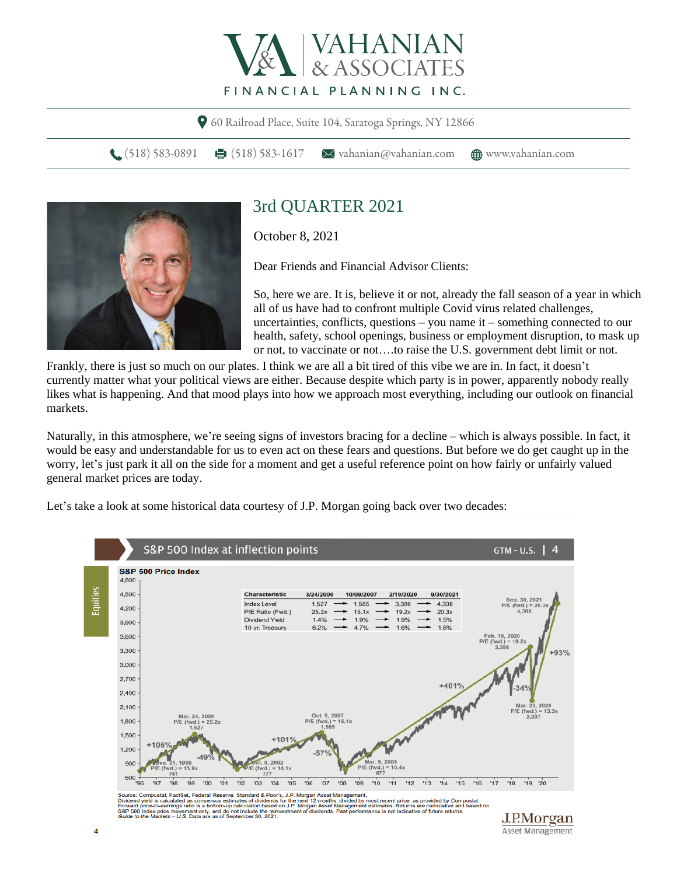

60 Railroad Place, Suite 104, Saratoga Springs, NY 12866

(518) 583-0891 (518) 583-1617  $\blacktriangleright$  vahanian@vahanian.com ( $\bigoplus$  www.vahanian.com



## 3rd QUARTER 2021

October 8, 2021

Dear Friends and Financial Advisor Clients:

So, here we are. It is, believe it or not, already the fall season of a year in which all of us have had to confront multiple Covid virus related challenges, uncertainties, conflicts, questions – you name it – something connected to our health, safety, school openings, business or employment disruption, to mask up or not, to vaccinate or not….to raise the U.S. government debt limit or not.

Frankly, there is just so much on our plates. I think we are all a bit tired of this vibe we are in. In fact, it doesn't currently matter what your political views are either. Because despite which party is in power, apparently nobody really likes what is happening. And that mood plays into how we approach most everything, including our outlook on financial markets.

Naturally, in this atmosphere, we're seeing signs of investors bracing for a decline – which is always possible. In fact, it would be easy and understandable for us to even act on these fears and questions. But before we do get caught up in the worry, let's just park it all on the side for a moment and get a useful reference point on how fairly or unfairly valued general market prices are today.

Let's take a look at some historical data courtesy of J.P. Morgan going back over two decades:



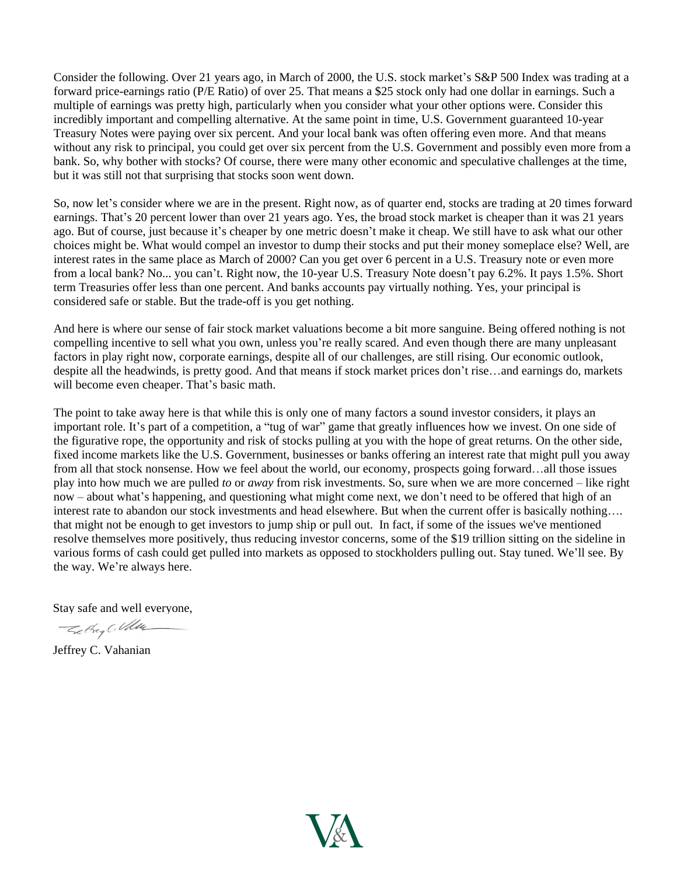Consider the following. Over 21 years ago, in March of 2000, the U.S. stock market's S&P 500 Index was trading at a forward price-earnings ratio (P/E Ratio) of over 25. That means a \$25 stock only had one dollar in earnings. Such a multiple of earnings was pretty high, particularly when you consider what your other options were. Consider this incredibly important and compelling alternative. At the same point in time, U.S. Government guaranteed 10-year Treasury Notes were paying over six percent. And your local bank was often offering even more. And that means without any risk to principal, you could get over six percent from the U.S. Government and possibly even more from a bank. So, why bother with stocks? Of course, there were many other economic and speculative challenges at the time, but it was still not that surprising that stocks soon went down.

So, now let's consider where we are in the present. Right now, as of quarter end, stocks are trading at 20 times forward earnings. That's 20 percent lower than over 21 years ago. Yes, the broad stock market is cheaper than it was 21 years ago. But of course, just because it's cheaper by one metric doesn't make it cheap. We still have to ask what our other choices might be. What would compel an investor to dump their stocks and put their money someplace else? Well, are interest rates in the same place as March of 2000? Can you get over 6 percent in a U.S. Treasury note or even more from a local bank? No... you can't. Right now, the 10-year U.S. Treasury Note doesn't pay 6.2%. It pays 1.5%. Short term Treasuries offer less than one percent. And banks accounts pay virtually nothing. Yes, your principal is considered safe or stable. But the trade-off is you get nothing.

And here is where our sense of fair stock market valuations become a bit more sanguine. Being offered nothing is not compelling incentive to sell what you own, unless you're really scared. And even though there are many unpleasant factors in play right now, corporate earnings, despite all of our challenges, are still rising. Our economic outlook, despite all the headwinds, is pretty good. And that means if stock market prices don't rise…and earnings do, markets will become even cheaper. That's basic math.

The point to take away here is that while this is only one of many factors a sound investor considers, it plays an important role. It's part of a competition, a "tug of war" game that greatly influences how we invest. On one side of the figurative rope, the opportunity and risk of stocks pulling at you with the hope of great returns. On the other side, fixed income markets like the U.S. Government, businesses or banks offering an interest rate that might pull you away from all that stock nonsense. How we feel about the world, our economy, prospects going forward…all those issues play into how much we are pulled *to* or *away* from risk investments. So, sure when we are more concerned – like right now – about what's happening, and questioning what might come next, we don't need to be offered that high of an interest rate to abandon our stock investments and head elsewhere. But when the current offer is basically nothing…. that might not be enough to get investors to jump ship or pull out. In fact, if some of the issues we've mentioned resolve themselves more positively, thus reducing investor concerns, some of the \$19 trillion sitting on the sideline in various forms of cash could get pulled into markets as opposed to stockholders pulling out. Stay tuned. We'll see. By the way. We're always here.

Stay safe and well everyone,

- Setting C. Uller

Jeffrey C. Vahanian